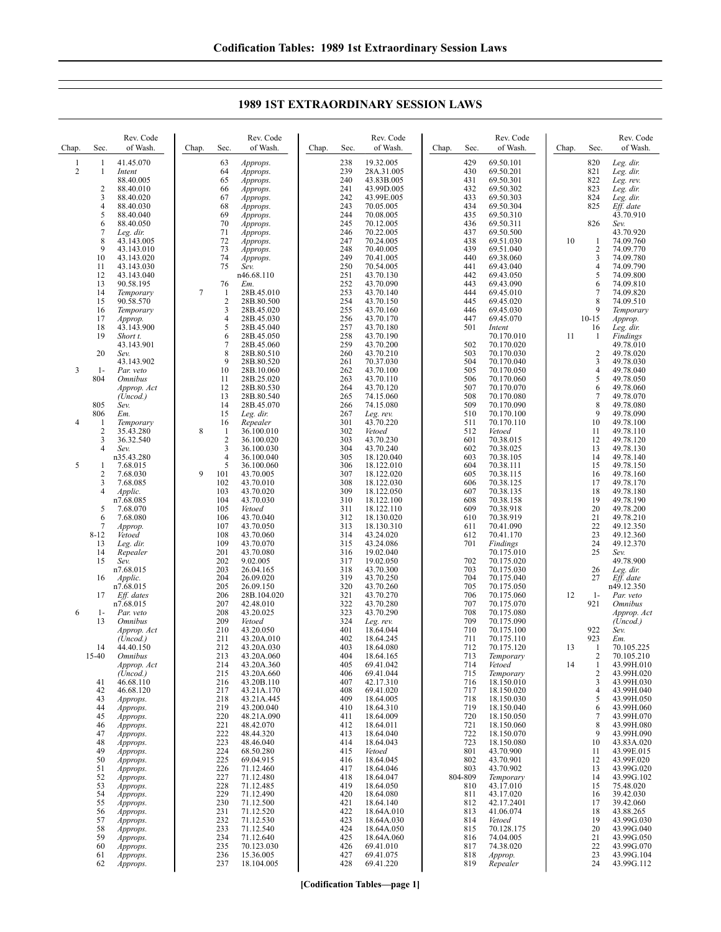| Chap.                          | Sec.                                     | Rev. Code<br>of Wash.                                                      | Chap.  | Sec.                                                  | Rev. Code<br>of Wash.                                                          | Chap. | Sec.                                   | Rev. Code<br>of Wash.                                                      | Chap.                                                      | Sec.                                                               | Rev. Code<br>of Wash.                                                            | Chap.                 | Sec.                                                                     | Rev. Code<br>of Wash.                                                            |
|--------------------------------|------------------------------------------|----------------------------------------------------------------------------|--------|-------------------------------------------------------|--------------------------------------------------------------------------------|-------|----------------------------------------|----------------------------------------------------------------------------|------------------------------------------------------------|--------------------------------------------------------------------|----------------------------------------------------------------------------------|-----------------------|--------------------------------------------------------------------------|----------------------------------------------------------------------------------|
| $\mathbf{1}$<br>$\overline{c}$ | 1<br>$\mathbf{1}$<br>$\overline{2}$<br>3 | 41.45.070<br>Intent<br>88.40.005<br>88.40.010<br>88.40.020                 |        | 63<br>64<br>65<br>66<br>67                            | Approps.<br>Approps.<br>Approps.<br>Approps.<br>Approps.                       |       | 238<br>239<br>240<br>241<br>242        | 19.32.005<br>28A.31.005<br>43.83B.005<br>43.99D.005<br>43.99E.005          |                                                            | 429<br>430<br>431<br>432<br>433                                    | 69.50.101<br>69.50.201<br>69.50.301<br>69.50.302<br>69.50.303                    |                       | 820<br>821<br>822<br>823<br>824                                          | Leg. dir.<br>Leg. dir.<br>Leg. rev.<br>Leg. dir.<br>Leg. dir.                    |
|                                | 4<br>5<br>6<br>7<br>8                    | 88.40.030<br>88.40.040<br>88.40.050<br>Leg. dir.<br>43.143.005             |        | 68<br>69<br>70<br>71<br>72                            | Approps.<br>Approps.<br>Approps.<br>Approps.<br>Approps.                       |       | 243<br>244<br>245<br>246<br>247        | 70.05.005<br>70.08.005<br>70.12.005<br>70.22.005<br>70.24.005              |                                                            | 434<br>435<br>436<br>437<br>438                                    | 69.50.304<br>69.50.310<br>69.50.311<br>69.50.500<br>69.51.030                    | 10                    | 825<br>826<br>$\mathbf{1}$                                               | Eff. date<br>43.70.910<br>Sev.<br>43.70.920<br>74.09.760                         |
|                                | 9<br>10<br>11<br>12<br>13                | 43.143.010<br>43.143.020<br>43.143.030<br>43.143.040<br>90.58.195          |        | 73<br>74<br>75<br>76                                  | Approps.<br>Approps.<br>Sev.<br>n46.68.110<br>Em.                              |       | 248<br>249<br>250<br>251<br>252        | 70.40.005<br>70.41.005<br>70.54.005<br>43.70.130<br>43.70.090              |                                                            | 439<br>440<br>441<br>442<br>443                                    | 69.51.040<br>69.38.060<br>69.43.040<br>69.43.050<br>69.43.090                    |                       | $\overline{c}$<br>$\mathfrak{Z}$<br>$\overline{4}$<br>5<br>6             | 74.09.770<br>74.09.780<br>74.09.790<br>74.09.800<br>74.09.810                    |
|                                | 14<br>15<br>16<br>17<br>18               | Temporary<br>90.58.570<br>Temporary<br>Approp.<br>43.143.900               | $\tau$ | 1<br>2<br>3<br>$\overline{4}$<br>5                    | 28B.45.010<br>28B.80.500<br>28B.45.020<br>28B.45.030<br>28B.45.040             |       | 253<br>254<br>255<br>256<br>257        | 43.70.140<br>43.70.150<br>43.70.160<br>43.70.170<br>43.70.180              |                                                            | 444<br>445<br>446<br>447<br>501                                    | 69.45.010<br>69.45.020<br>69.45.030<br>69.45.070<br>Intent                       |                       | 7<br>8<br>9<br>$10 - 15$<br>16                                           | 74.09.820<br>74.09.510<br>Temporary<br>Approp.<br>Leg. dir.                      |
| 3                              | 19<br>20<br>$1-$                         | Short t.<br>43.143.901<br>Sev.<br>43.143.902<br>Par. veto                  |        | 6<br>7<br>8<br>9<br>10                                | 28B.45.050<br>28B.45.060<br>28B.80.510<br>28B.80.520<br>28B.10.060             |       | 258<br>259<br>260<br>261<br>262        | 43.70.190<br>43.70.200<br>43.70.210<br>70.37.030<br>43.70.100              |                                                            | 502<br>503<br>504<br>505                                           | 70.170.010<br>70.170.020<br>70.170.030<br>70.170.040<br>70.170.050               | 11                    | 1<br>$\overline{c}$<br>3<br>$\overline{4}$                               | Findings<br>49.78.010<br>49.78.020<br>49.78.030<br>49.78.040                     |
|                                | 804<br>805<br>806                        | <i><b>Omnibus</b></i><br>Approp. Act<br>(Uncod.)<br>Sev.<br>Em.            |        | 11<br>12<br>13<br>14<br>15                            | 28B.25.020<br>28B.80.530<br>28B.80.540<br>28B.45.070<br>Leg. dir.              |       | 263<br>264<br>265<br>266<br>267        | 43.70.110<br>43.70.120<br>74.15.060<br>74.15.080<br>Leg. rev.              | 506<br>507<br>508<br>509<br>510<br>511<br>43.70.220<br>512 | 70.170.060<br>70.170.070<br>70.170.080<br>70.170.090<br>70.170.100 |                                                                                  | 5<br>6<br>7<br>8<br>9 | 49.78.050<br>49.78.060<br>49.78.070<br>49.78.080<br>49.78.090            |                                                                                  |
| 4<br>5                         | -1<br>$\overline{c}$<br>3<br>4<br>1      | Temporary<br>35.43.280<br>36.32.540<br>Sev.<br>n35.43.280<br>7.68.015      | 8      | 16<br>1<br>$\overline{2}$<br>3<br>$\overline{4}$<br>5 | Repealer<br>36.100.010<br>36.100.020<br>36.100.030<br>36.100.040<br>36.100.060 |       | 301<br>302<br>303<br>304<br>305<br>306 | Vetoed<br>43.70.230<br>43.70.240<br>18.120.040<br>18.122.010               |                                                            | 601<br>602<br>603<br>604                                           | 70.170.110<br>Vetoed<br>70.38.015<br>70.38.025<br>70.38.105<br>70.38.111         |                       | 10<br>11<br>12<br>13<br>14<br>15                                         | 49.78.100<br>49.78.110<br>49.78.120<br>49.78.130<br>49.78.140<br>49.78.150       |
|                                | 2<br>3<br>4<br>5                         | 7.68.030<br>7.68.085<br><i>Applic.</i><br>n7.68.085<br>7.68.070            | 9      | 101<br>102<br>103<br>104<br>105                       | 43.70.005<br>43.70.010<br>43.70.020<br>43.70.030<br>Vetoed                     |       | 307<br>308<br>309<br>310<br>311        | 18.122.020<br>18.122.030<br>18.122.050<br>18.122.100<br>18.122.110         |                                                            | 605<br>606<br>607<br>608<br>609                                    | 70.38.115<br>70.38.125<br>70.38.135<br>70.38.158<br>70.38.918                    |                       | 16<br>17<br>18<br>19<br>20                                               | 49.78.160<br>49.78.170<br>49.78.180<br>49.78.190<br>49.78.200                    |
|                                | 6<br>7<br>$8 - 12$<br>13<br>14           | 7.68.080<br>Approp.<br>Vetoed<br>Leg. dir.<br>Repealer                     |        | 106<br>107<br>108<br>109<br>201                       | 43.70.040<br>43.70.050<br>43.70.060<br>43.70.070<br>43.70.080                  |       | 312<br>313<br>314<br>315<br>316        | 18.130.020<br>18.130.310<br>43.24.020<br>43.24.086<br>19.02.040            |                                                            | 610<br>611<br>612<br>701                                           | 70.38.919<br>70.41.090<br>70.41.170<br>Findings<br>70.175.010                    |                       | 21<br>22<br>23<br>24<br>25                                               | 49.78.210<br>49.12.350<br>49.12.360<br>49.12.370<br>Sev.                         |
|                                | 15<br>16<br>17                           | Sev.<br>n7.68.015<br>Applic.<br>n7.68.015<br>Eff. dates                    |        | 202<br>203<br>204<br>205<br>206                       | 9.02.005<br>26.04.165<br>26.09.020<br>26.09.150<br>28B.104.020                 |       | 317<br>318<br>319<br>320<br>321        | 19.02.050<br>43.70.300<br>43.70.250<br>43.70.260<br>43.70.270              |                                                            | 702<br>703<br>704<br>705<br>706                                    | 70.175.020<br>70.175.030<br>70.175.040<br>70.175.050<br>70.175.060               | 12                    | 26<br>27<br>$1-$                                                         | 49.78.900<br>Leg. dir.<br>Eff. date<br>n49.12.350<br>Par. veto                   |
| 6                              | $1-$<br>13                               | n7.68.015<br>Par. veto<br><i><b>Omnibus</b></i><br>Approp. Act<br>(Uncod.) |        | 207<br>208<br>209<br>210<br>211                       | 42.48.010<br>43.20.025<br>Vetoed<br>43.20.050<br>43.20A.010                    |       | 322<br>323<br>324<br>401<br>402        | 43.70.280<br>43.70.290<br>Leg. rev.<br>18.64.044<br>18.64.245              |                                                            | 707<br>708<br>709<br>710<br>711                                    | 70.175.070<br>70.175.080<br>70.175.090<br>70.175.100<br>70.175.110               |                       | 921<br>922<br>923                                                        | <i><b>Omnibus</b></i><br>Approp. Act<br>(Uncod.)<br>Sev.<br>Em.                  |
|                                | 14<br>15-40<br>41                        | 44.40.150<br><b>Omnibus</b><br>Approp. Act<br>(Uncod.)<br>46.68.110        |        | 212<br>213<br>214<br>215<br>216                       | 43.20A.030<br>43.20A.060<br>43.20A.360<br>43.20A.660<br>43.20B.110             |       | 403<br>404<br>405<br>406<br>407        | 18.64.080<br>18.64.165<br>69.41.042<br>69.41.044<br>42.17.310              |                                                            | 712<br>713<br>714<br>715<br>716                                    | 70.175.120<br>Temporary<br>Vetoed<br>Temporary<br>18.150.010                     | 13<br>14              | -1<br>$\overline{2}$<br>$\mathbf{1}$<br>$\overline{2}$<br>$\mathfrak{Z}$ | 70.105.225<br>70.105.210<br>43.99H.010<br>43.99H.020<br>43.99H.030               |
|                                | 42<br>43<br>44<br>45<br>46<br>47         | 46.68.120<br>Approps.<br>Approps.<br>Approps.<br>Approps.<br>Approps.      |        | 217<br>218<br>219<br>220<br>221<br>222                | 43.21A.170<br>43.21A.445<br>43.200.040<br>48.21A.090<br>48.42.070<br>48.44.320 |       | 408<br>409<br>410<br>411<br>412<br>413 | 69.41.020<br>18.64.005<br>18.64.310<br>18.64.009<br>18.64.011<br>18.64.040 |                                                            | 717<br>718<br>719<br>720<br>721<br>722                             | 18.150.020<br>18.150.030<br>18.150.040<br>18.150.050<br>18.150.060<br>18.150.070 |                       | 4<br>5<br>6<br>7<br>8<br>9                                               | 43.99H.040<br>43.99H.050<br>43.99H.060<br>43.99H.070<br>43.99H.080<br>43.99H.090 |
|                                | 48<br>49<br>50<br>51<br>52               | Approps.<br>Approps.<br>Approps.<br>Approps.<br>Approps.                   |        | 223<br>224<br>225<br>226<br>227                       | 48.46.040<br>68.50.280<br>69.04.915<br>71.12.460<br>71.12.480                  |       | 414<br>415<br>416<br>417<br>418        | 18.64.043<br>Vetoed<br>18.64.045<br>18.64.046<br>18.64.047                 |                                                            | 723<br>801<br>802<br>803<br>804-809                                | 18.150.080<br>43.70.900<br>43.70.901<br>43.70.902<br>Temporary                   |                       | 10<br>11<br>12<br>13<br>14                                               | 43.83A.020<br>43.99E.015<br>43.99F.020<br>43.99G.020<br>43.99G.102               |
|                                | 53<br>54<br>55<br>56<br>57               | Approps.<br>Approps.<br>Approps.<br>Approps.<br>Approps.                   |        | 228<br>229<br>230<br>231<br>232                       | 71.12.485<br>71.12.490<br>71.12.500<br>71.12.520<br>71.12.530                  |       | 419<br>420<br>421<br>422<br>423        | 18.64.050<br>18.64.080<br>18.64.140<br>18.64A.010<br>18.64A.030            |                                                            | 810<br>811<br>812<br>813<br>814                                    | 43.17.010<br>43.17.020<br>42.17.2401<br>41.06.074<br>Vetoed                      |                       | 15<br>16<br>17<br>18<br>19                                               | 75.48.020<br>39.42.030<br>39.42.060<br>43.88.265<br>43.99G.030                   |
|                                | 58<br>59<br>60<br>61<br>62               | Approps.<br>Approps.<br>Approps.<br>Approps.<br>Approps.                   |        | 233<br>234<br>235<br>236<br>237                       | 71.12.540<br>71.12.640<br>70.123.030<br>15.36.005<br>18.104.005                |       | 424<br>425<br>426<br>427<br>428        | 18.64A.050<br>18.64A.060<br>69.41.010<br>69.41.075<br>69.41.220            |                                                            | 815<br>816<br>817<br>818<br>819                                    | 70.128.175<br>74.04.005<br>74.38.020<br>Approp.<br>Repealer                      |                       | 20<br>21<br>22<br>23<br>24                                               | 43.99G.040<br>43.99G.050<br>43.99G.070<br>43.99G.104<br>43.99G.112               |

## **1989 1ST EXTRAORDINARY SESSION LAWS**

**[Codification Tables—page 1]**